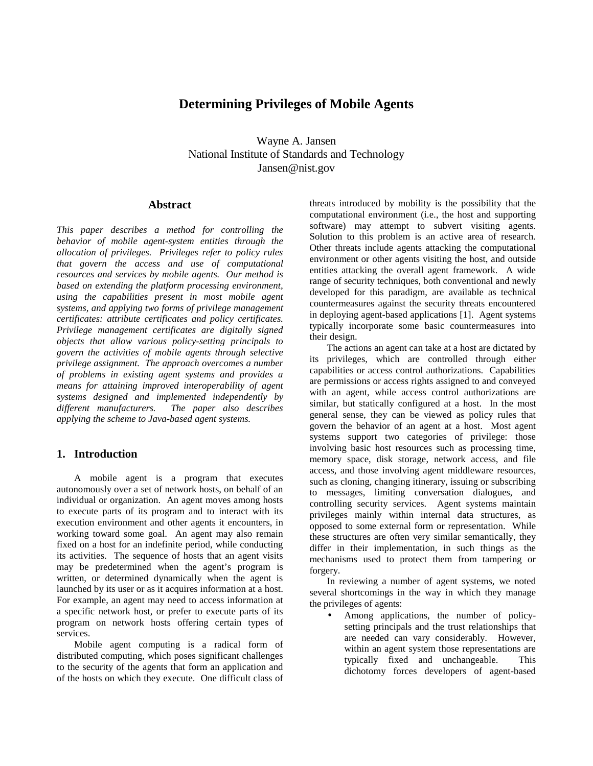# **Determining Privileges of Mobile Agents**

Wayne A. Jansen National Institute of Standards and Technology Jansen@nist.gov

#### **Abstract**

*This paper describes a method for controlling the behavior of mobile agent-system entities through the allocation of privileges. Privileges refer to policy rules that govern the access and use of computational resources and services by mobile agents. Our method is based on extending the platform processing environment, using the capabilities present in most mobile agent systems, and applying two forms of privilege management certificates: attribute certificates and policy certificates. Privilege management certificates are digitally signed objects that allow various policy-setting principals to govern the activities of mobile agents through selective privilege assignment. The approach overcomes a number of problems in existing agent systems and provides a means for attaining improved interoperability of agent systems designed and implemented independently by different manufacturers. The paper also describes applying the scheme to Java-based agent systems.* 

### **1. Introduction**

 A mobile agent is a program that executes autonomously over a set of network hosts, on behalf of an individual or organization. An agent moves among hosts to execute parts of its program and to interact with its execution environment and other agents it encounters, in working toward some goal. An agent may also remain fixed on a host for an indefinite period, while conducting its activities. The sequence of hosts that an agent visits may be predetermined when the agent's program is written, or determined dynamically when the agent is launched by its user or as it acquires information at a host. For example, an agent may need to access information at a specific network host, or prefer to execute parts of its program on network hosts offering certain types of services.

 Mobile agent computing is a radical form of distributed computing, which poses significant challenges to the security of the agents that form an application and of the hosts on which they execute. One difficult class of threats introduced by mobility is the possibility that the computational environment (i.e., the host and supporting software) may attempt to subvert visiting agents. Solution to this problem is an active area of research. Other threats include agents attacking the computational environment or other agents visiting the host, and outside entities attacking the overall agent framework. A wide range of security techniques, both conventional and newly developed for this paradigm, are available as technical countermeasures against the security threats encountered in deploying agent-based applications [1]. Agent systems typically incorporate some basic countermeasures into their design.

 The actions an agent can take at a host are dictated by its privileges, which are controlled through either capabilities or access control authorizations. Capabilities are permissions or access rights assigned to and conveyed with an agent, while access control authorizations are similar, but statically configured at a host. In the most general sense, they can be viewed as policy rules that govern the behavior of an agent at a host. Most agent systems support two categories of privilege: those involving basic host resources such as processing time, memory space, disk storage, network access, and file access, and those involving agent middleware resources, such as cloning, changing itinerary, issuing or subscribing to messages, limiting conversation dialogues, and controlling security services. Agent systems maintain privileges mainly within internal data structures, as opposed to some external form or representation. While these structures are often very similar semantically, they differ in their implementation, in such things as the mechanisms used to protect them from tampering or forgery.

 In reviewing a number of agent systems, we noted several shortcomings in the way in which they manage the privileges of agents:

• Among applications, the number of policysetting principals and the trust relationships that are needed can vary considerably. However, within an agent system those representations are typically fixed and unchangeable. This dichotomy forces developers of agent-based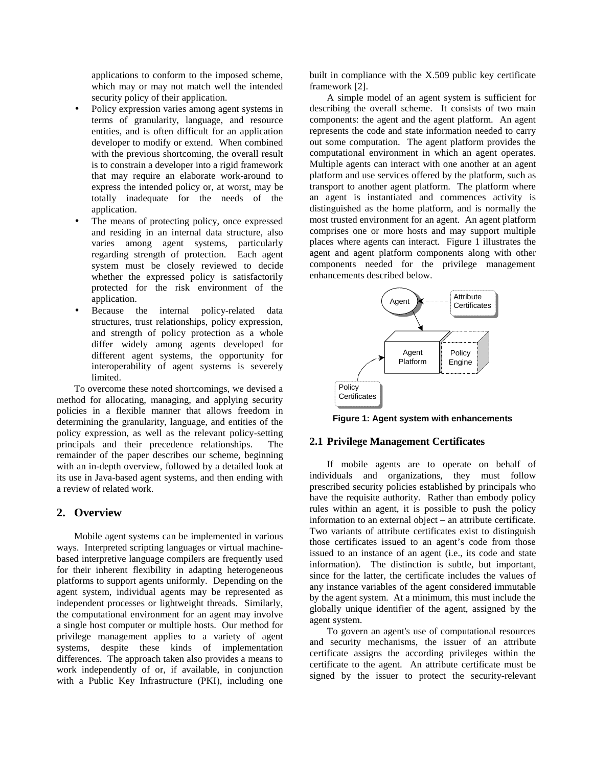applications to conform to the imposed scheme, which may or may not match well the intended security policy of their application.

- Policy expression varies among agent systems in terms of granularity, language, and resource entities, and is often difficult for an application developer to modify or extend. When combined with the previous shortcoming, the overall result is to constrain a developer into a rigid framework that may require an elaborate work-around to express the intended policy or, at worst, may be totally inadequate for the needs of the application.
- The means of protecting policy, once expressed and residing in an internal data structure, also varies among agent systems, particularly regarding strength of protection. Each agent system must be closely reviewed to decide whether the expressed policy is satisfactorily protected for the risk environment of the application.
- Because the internal policy-related data structures, trust relationships, policy expression, and strength of policy protection as a whole differ widely among agents developed for different agent systems, the opportunity for interoperability of agent systems is severely limited.

 To overcome these noted shortcomings, we devised a method for allocating, managing, and applying security policies in a flexible manner that allows freedom in determining the granularity, language, and entities of the policy expression, as well as the relevant policy-setting principals and their precedence relationships. The remainder of the paper describes our scheme, beginning with an in-depth overview, followed by a detailed look at its use in Java-based agent systems, and then ending with a review of related work.

### **2. Overview**

 Mobile agent systems can be implemented in various ways. Interpreted scripting languages or virtual machinebased interpretive language compilers are frequently used for their inherent flexibility in adapting heterogeneous platforms to support agents uniformly. Depending on the agent system, individual agents may be represented as independent processes or lightweight threads. Similarly, the computational environment for an agent may involve a single host computer or multiple hosts. Our method for privilege management applies to a variety of agent systems, despite these kinds of implementation differences. The approach taken also provides a means to work independently of or, if available, in conjunction with a Public Key Infrastructure (PKI), including one built in compliance with the X.509 public key certificate framework [2].

 A simple model of an agent system is sufficient for describing the overall scheme. It consists of two main components: the agent and the agent platform. An agent represents the code and state information needed to carry out some computation. The agent platform provides the computational environment in which an agent operates. Multiple agents can interact with one another at an agent platform and use services offered by the platform, such as transport to another agent platform. The platform where an agent is instantiated and commences activity is distinguished as the home platform, and is normally the most trusted environment for an agent. An agent platform comprises one or more hosts and may support multiple places where agents can interact. Figure 1 illustrates the agent and agent platform components along with other components needed for the privilege management enhancements described below.



**Figure 1: Agent system with enhancements** 

#### **2.1 Privilege Management Certificates**

 If mobile agents are to operate on behalf of individuals and organizations, they must follow prescribed security policies established by principals who have the requisite authority. Rather than embody policy rules within an agent, it is possible to push the policy information to an external object – an attribute certificate. Two variants of attribute certificates exist to distinguish those certificates issued to an agent's code from those issued to an instance of an agent (i.e., its code and state information). The distinction is subtle, but important, since for the latter, the certificate includes the values of any instance variables of the agent considered immutable by the agent system. At a minimum, this must include the globally unique identifier of the agent, assigned by the agent system.

 To govern an agent's use of computational resources and security mechanisms, the issuer of an attribute certificate assigns the according privileges within the certificate to the agent. An attribute certificate must be signed by the issuer to protect the security-relevant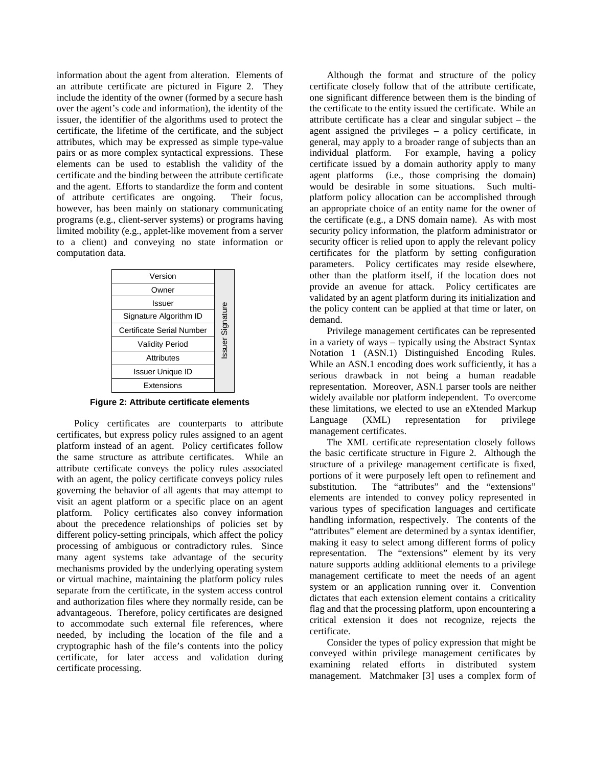information about the agent from alteration. Elements of an attribute certificate are pictured in Figure 2. They include the identity of the owner (formed by a secure hash over the agent's code and information), the identity of the issuer, the identifier of the algorithms used to protect the certificate, the lifetime of the certificate, and the subject attributes, which may be expressed as simple type-value pairs or as more complex syntactical expressions. These elements can be used to establish the validity of the certificate and the binding between the attribute certificate and the agent. Efforts to standardize the form and content of attribute certificates are ongoing. Their focus, however, has been mainly on stationary communicating programs (e.g., client-server systems) or programs having limited mobility (e.g., applet-like movement from a server to a client) and conveying no state information or computation data.

| Version                   |                 |
|---------------------------|-----------------|
| Owner                     | ssuer Signature |
| Issuer                    |                 |
| Signature Algorithm ID    |                 |
| Certificate Serial Number |                 |
| <b>Validity Period</b>    |                 |
| Attributes                |                 |
| Issuer Unique ID          |                 |
| <b>Extensions</b>         |                 |

**Figure 2: Attribute certificate elements** 

 Policy certificates are counterparts to attribute certificates, but express policy rules assigned to an agent platform instead of an agent. Policy certificates follow the same structure as attribute certificates. While an attribute certificate conveys the policy rules associated with an agent, the policy certificate conveys policy rules governing the behavior of all agents that may attempt to visit an agent platform or a specific place on an agent platform. Policy certificates also convey information about the precedence relationships of policies set by different policy-setting principals, which affect the policy processing of ambiguous or contradictory rules. Since many agent systems take advantage of the security mechanisms provided by the underlying operating system or virtual machine, maintaining the platform policy rules separate from the certificate, in the system access control and authorization files where they normally reside, can be advantageous. Therefore, policy certificates are designed to accommodate such external file references, where needed, by including the location of the file and a cryptographic hash of the file's contents into the policy certificate, for later access and validation during certificate processing.

 Although the format and structure of the policy certificate closely follow that of the attribute certificate, one significant difference between them is the binding of the certificate to the entity issued the certificate. While an attribute certificate has a clear and singular subject – the agent assigned the privileges – a policy certificate, in general, may apply to a broader range of subjects than an individual platform. For example, having a policy certificate issued by a domain authority apply to many agent platforms (i.e., those comprising the domain) would be desirable in some situations. Such multiplatform policy allocation can be accomplished through an appropriate choice of an entity name for the owner of the certificate (e.g., a DNS domain name). As with most security policy information, the platform administrator or security officer is relied upon to apply the relevant policy certificates for the platform by setting configuration parameters. Policy certificates may reside elsewhere, other than the platform itself, if the location does not provide an avenue for attack. Policy certificates are validated by an agent platform during its initialization and the policy content can be applied at that time or later, on demand.

 Privilege management certificates can be represented in a variety of ways – typically using the Abstract Syntax Notation 1 (ASN.1) Distinguished Encoding Rules. While an ASN.1 encoding does work sufficiently, it has a serious drawback in not being a human readable representation. Moreover, ASN.1 parser tools are neither widely available nor platform independent. To overcome these limitations, we elected to use an eXtended Markup Language (XML) representation for privilege management certificates.

 The XML certificate representation closely follows the basic certificate structure in Figure 2. Although the structure of a privilege management certificate is fixed, portions of it were purposely left open to refinement and substitution. The "attributes" and the "extensions" elements are intended to convey policy represented in various types of specification languages and certificate handling information, respectively. The contents of the "attributes" element are determined by a syntax identifier, making it easy to select among different forms of policy representation. The "extensions" element by its very nature supports adding additional elements to a privilege management certificate to meet the needs of an agent system or an application running over it. Convention dictates that each extension element contains a criticality flag and that the processing platform, upon encountering a critical extension it does not recognize, rejects the certificate.

 Consider the types of policy expression that might be conveyed within privilege management certificates by examining related efforts in distributed system management. Matchmaker [3] uses a complex form of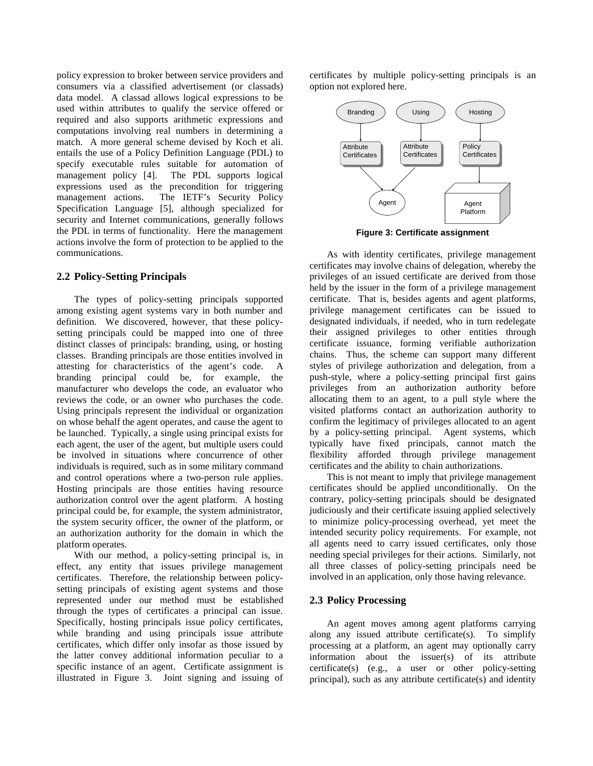policy expression to broker between service providers and consumers via a classified advertisement (or classads) data model. A classad allows logical expressions to be used within attributes to qualify the service offered or required and also supports arithmetic expressions and computations involving real numbers in determining a match. A more general scheme devised by Koch et ali. entails the use of a Policy Definition Language (PDL) to specify executable rules suitable for automation of management policy [4]. The PDL supports logical expressions used as the precondition for triggering management actions. The IETF's Security Policy Specification Language [5], although specialized for security and Internet communications, generally follows the PDL in terms of functionality. Here the management actions involve the form of protection to be applied to the communications.

### **2.2 Policy-Setting Principals**

 The types of policy-setting principals supported among existing agent systems vary in both number and definition. We discovered, however, that these policysetting principals could be mapped into one of three distinct classes of principals: branding, using, or hosting classes. Branding principals are those entities involved in attesting for characteristics of the agent's code. A branding principal could be, for example, the manufacturer who develops the code, an evaluator who reviews the code, or an owner who purchases the code. Using principals represent the individual or organization on whose behalf the agent operates, and cause the agent to be launched. Typically, a single using principal exists for each agent, the user of the agent, but multiple users could be involved in situations where concurrence of other individuals is required, such as in some military command and control operations where a two-person rule applies. Hosting principals are those entities having resource authorization control over the agent platform. A hosting principal could be, for example, the system administrator, the system security officer, the owner of the platform, or an authorization authority for the domain in which the platform operates.

 With our method, a policy-setting principal is, in effect, any entity that issues privilege management certificates. Therefore, the relationship between policysetting principals of existing agent systems and those represented under our method must be established through the types of certificates a principal can issue. Specifically, hosting principals issue policy certificates, while branding and using principals issue attribute certificates, which differ only insofar as those issued by the latter convey additional information peculiar to a specific instance of an agent. Certificate assignment is illustrated in Figure 3. Joint signing and issuing of certificates by multiple policy-setting principals is an option not explored here.



**Figure 3: Certificate assignment** 

 As with identity certificates, privilege management certificates may involve chains of delegation, whereby the privileges of an issued certificate are derived from those held by the issuer in the form of a privilege management certificate. That is, besides agents and agent platforms, privilege management certificates can be issued to designated individuals, if needed, who in turn redelegate their assigned privileges to other entities through certificate issuance, forming verifiable authorization chains. Thus, the scheme can support many different styles of privilege authorization and delegation, from a push-style, where a policy-setting principal first gains privileges from an authorization authority before allocating them to an agent, to a pull style where the visited platforms contact an authorization authority to confirm the legitimacy of privileges allocated to an agent by a policy-setting principal. Agent systems, which typically have fixed principals, cannot match the flexibility afforded through privilege management certificates and the ability to chain authorizations.

 This is not meant to imply that privilege management certificates should be applied unconditionally. On the contrary, policy-setting principals should be designated judiciously and their certificate issuing applied selectively to minimize policy-processing overhead, yet meet the intended security policy requirements. For example, not all agents need to carry issued certificates, only those needing special privileges for their actions. Similarly, not all three classes of policy-setting principals need be involved in an application, only those having relevance.

### **2.3 Policy Processing**

 An agent moves among agent platforms carrying along any issued attribute certificate(s). To simplify processing at a platform, an agent may optionally carry information about the issuer(s) of its attribute certificate(s) (e.g., a user or other policy-setting principal), such as any attribute certificate(s) and identity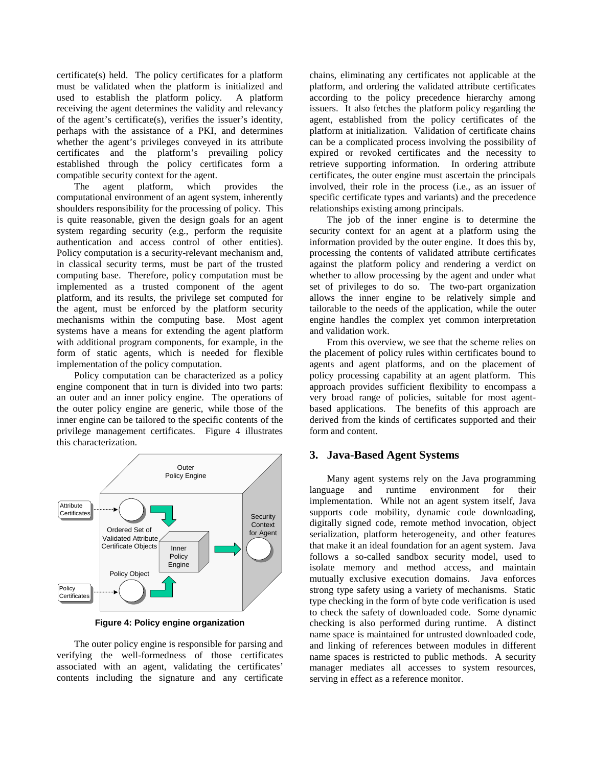certificate(s) held. The policy certificates for a platform must be validated when the platform is initialized and used to establish the platform policy. A platform receiving the agent determines the validity and relevancy of the agent's certificate(s), verifies the issuer's identity, perhaps with the assistance of a PKI, and determines whether the agent's privileges conveyed in its attribute certificates and the platform's prevailing policy established through the policy certificates form a compatible security context for the agent.

 The agent platform, which provides the computational environment of an agent system, inherently shoulders responsibility for the processing of policy. This is quite reasonable, given the design goals for an agent system regarding security (e.g., perform the requisite authentication and access control of other entities). Policy computation is a security-relevant mechanism and, in classical security terms, must be part of the trusted computing base. Therefore, policy computation must be implemented as a trusted component of the agent platform, and its results, the privilege set computed for the agent, must be enforced by the platform security mechanisms within the computing base. Most agent systems have a means for extending the agent platform with additional program components, for example, in the form of static agents, which is needed for flexible implementation of the policy computation.

 Policy computation can be characterized as a policy engine component that in turn is divided into two parts: an outer and an inner policy engine. The operations of the outer policy engine are generic, while those of the inner engine can be tailored to the specific contents of the privilege management certificates. Figure 4 illustrates this characterization.



**Figure 4: Policy engine organization** 

 The outer policy engine is responsible for parsing and verifying the well-formedness of those certificates associated with an agent, validating the certificates' contents including the signature and any certificate chains, eliminating any certificates not applicable at the platform, and ordering the validated attribute certificates according to the policy precedence hierarchy among issuers. It also fetches the platform policy regarding the agent, established from the policy certificates of the platform at initialization. Validation of certificate chains can be a complicated process involving the possibility of expired or revoked certificates and the necessity to retrieve supporting information. In ordering attribute certificates, the outer engine must ascertain the principals involved, their role in the process (i.e., as an issuer of specific certificate types and variants) and the precedence relationships existing among principals.

 The job of the inner engine is to determine the security context for an agent at a platform using the information provided by the outer engine. It does this by, processing the contents of validated attribute certificates against the platform policy and rendering a verdict on whether to allow processing by the agent and under what set of privileges to do so. The two-part organization allows the inner engine to be relatively simple and tailorable to the needs of the application, while the outer engine handles the complex yet common interpretation and validation work.

 From this overview, we see that the scheme relies on the placement of policy rules within certificates bound to agents and agent platforms, and on the placement of policy processing capability at an agent platform. This approach provides sufficient flexibility to encompass a very broad range of policies, suitable for most agentbased applications. The benefits of this approach are derived from the kinds of certificates supported and their form and content.

### **3. Java-Based Agent Systems**

 Many agent systems rely on the Java programming language and runtime environment for their implementation. While not an agent system itself, Java supports code mobility, dynamic code downloading, digitally signed code, remote method invocation, object serialization, platform heterogeneity, and other features that make it an ideal foundation for an agent system. Java follows a so-called sandbox security model, used to isolate memory and method access, and maintain mutually exclusive execution domains. Java enforces strong type safety using a variety of mechanisms. Static type checking in the form of byte code verification is used to check the safety of downloaded code. Some dynamic checking is also performed during runtime. A distinct name space is maintained for untrusted downloaded code, and linking of references between modules in different name spaces is restricted to public methods. A security manager mediates all accesses to system resources, serving in effect as a reference monitor.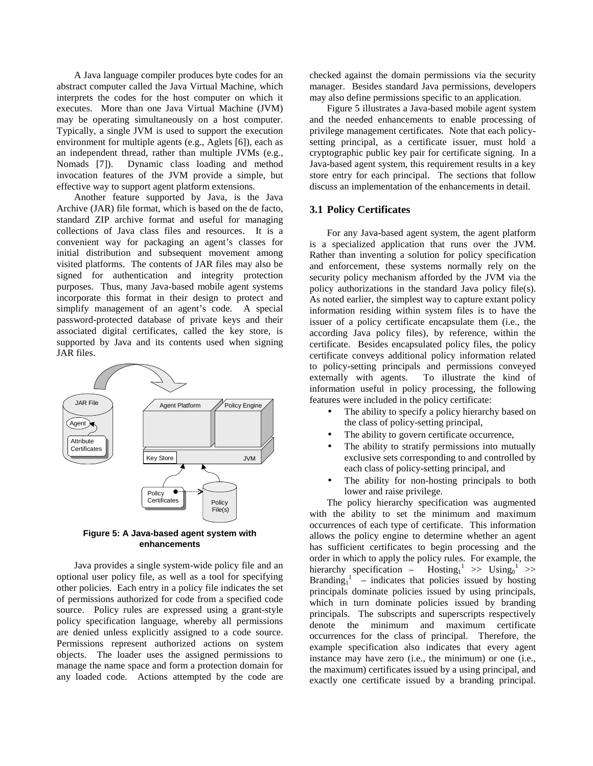A Java language compiler produces byte codes for an abstract computer called the Java Virtual Machine, which interprets the codes for the host computer on which it executes. More than one Java Virtual Machine (JVM) may be operating simultaneously on a host computer. Typically, a single JVM is used to support the execution environment for multiple agents (e.g., Aglets [6]), each as an independent thread, rather than multiple JVMs (e.g., Nomads [7]). Dynamic class loading and method invocation features of the JVM provide a simple, but effective way to support agent platform extensions.

 Another feature supported by Java, is the Java Archive (JAR) file format, which is based on the de facto, standard ZIP archive format and useful for managing collections of Java class files and resources. It is a convenient way for packaging an agent's classes for initial distribution and subsequent movement among visited platforms. The contents of JAR files may also be signed for authentication and integrity protection purposes. Thus, many Java-based mobile agent systems incorporate this format in their design to protect and simplify management of an agent's code. A special password-protected database of private keys and their associated digital certificates, called the key store, is supported by Java and its contents used when signing JAR files.



**Figure 5: A Java-based agent system with enhancements** 

 Java provides a single system-wide policy file and an optional user policy file, as well as a tool for specifying other policies. Each entry in a policy file indicates the set of permissions authorized for code from a specified code source. Policy rules are expressed using a grant-style policy specification language, whereby all permissions are denied unless explicitly assigned to a code source. Permissions represent authorized actions on system objects. The loader uses the assigned permissions to manage the name space and form a protection domain for any loaded code. Actions attempted by the code are checked against the domain permissions via the security manager. Besides standard Java permissions, developers may also define permissions specific to an application.

 Figure 5 illustrates a Java-based mobile agent system and the needed enhancements to enable processing of privilege management certificates. Note that each policysetting principal, as a certificate issuer, must hold a cryptographic public key pair for certificate signing. In a Java-based agent system, this requirement results in a key store entry for each principal. The sections that follow discuss an implementation of the enhancements in detail.

### **3.1 Policy Certificates**

 For any Java-based agent system, the agent platform is a specialized application that runs over the JVM. Rather than inventing a solution for policy specification and enforcement, these systems normally rely on the security policy mechanism afforded by the JVM via the policy authorizations in the standard Java policy file(s). As noted earlier, the simplest way to capture extant policy information residing within system files is to have the issuer of a policy certificate encapsulate them (i.e., the according Java policy files), by reference, within the certificate. Besides encapsulated policy files, the policy certificate conveys additional policy information related to policy-setting principals and permissions conveyed externally with agents. To illustrate the kind of information useful in policy processing, the following features were included in the policy certificate:

- The ability to specify a policy hierarchy based on the class of policy-setting principal,
- The ability to govern certificate occurrence,
- The ability to stratify permissions into mutually exclusive sets corresponding to and controlled by each class of policy-setting principal, and
- The ability for non-hosting principals to both lower and raise privilege.

 The policy hierarchy specification was augmented with the ability to set the minimum and maximum occurrences of each type of certificate. This information allows the policy engine to determine whether an agent has sufficient certificates to begin processing and the order in which to apply the policy rules. For example, the hierarchy specification – Hosting<sub>1</sub><sup>1</sup> >> Using<sub>0</sub><sup>1</sup> >> Branding $1$ <sup>1</sup> – indicates that policies issued by hosting principals dominate policies issued by using principals, which in turn dominate policies issued by branding principals. The subscripts and superscripts respectively denote the minimum and maximum certificate occurrences for the class of principal. Therefore, the example specification also indicates that every agent instance may have zero (i.e., the minimum) or one (i.e., the maximum) certificates issued by a using principal, and exactly one certificate issued by a branding principal.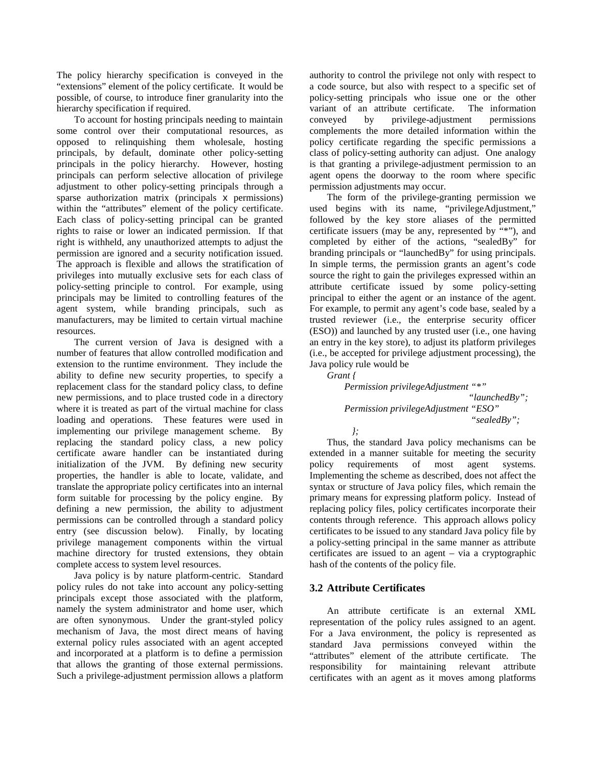The policy hierarchy specification is conveyed in the "extensions" element of the policy certificate. It would be possible, of course, to introduce finer granularity into the hierarchy specification if required.

 To account for hosting principals needing to maintain some control over their computational resources, as opposed to relinquishing them wholesale, hosting principals, by default, dominate other policy-setting principals in the policy hierarchy. However, hosting principals can perform selective allocation of privilege adjustment to other policy-setting principals through a sparse authorization matrix (principals x permissions) within the "attributes" element of the policy certificate. Each class of policy-setting principal can be granted rights to raise or lower an indicated permission. If that right is withheld, any unauthorized attempts to adjust the permission are ignored and a security notification issued. The approach is flexible and allows the stratification of privileges into mutually exclusive sets for each class of policy-setting principle to control. For example, using principals may be limited to controlling features of the agent system, while branding principals, such as manufacturers, may be limited to certain virtual machine resources.

 The current version of Java is designed with a number of features that allow controlled modification and extension to the runtime environment. They include the ability to define new security properties, to specify a replacement class for the standard policy class, to define new permissions, and to place trusted code in a directory where it is treated as part of the virtual machine for class loading and operations. These features were used in implementing our privilege management scheme. By replacing the standard policy class, a new policy certificate aware handler can be instantiated during initialization of the JVM. By defining new security properties, the handler is able to locate, validate, and translate the appropriate policy certificates into an internal form suitable for processing by the policy engine. By defining a new permission, the ability to adjustment permissions can be controlled through a standard policy entry (see discussion below). Finally, by locating privilege management components within the virtual machine directory for trusted extensions, they obtain complete access to system level resources.

 Java policy is by nature platform-centric. Standard policy rules do not take into account any policy-setting principals except those associated with the platform, namely the system administrator and home user, which are often synonymous. Under the grant-styled policy mechanism of Java, the most direct means of having external policy rules associated with an agent accepted and incorporated at a platform is to define a permission that allows the granting of those external permissions. Such a privilege-adjustment permission allows a platform

authority to control the privilege not only with respect to a code source, but also with respect to a specific set of policy-setting principals who issue one or the other variant of an attribute certificate. The information conveyed by privilege-adjustment permissions complements the more detailed information within the policy certificate regarding the specific permissions a class of policy-setting authority can adjust. One analogy is that granting a privilege-adjustment permission to an agent opens the doorway to the room where specific permission adjustments may occur.

 The form of the privilege-granting permission we used begins with its name, "privilegeAdjustment," followed by the key store aliases of the permitted certificate issuers (may be any, represented by "\*"), and completed by either of the actions, "sealedBy" for branding principals or "launchedBy" for using principals. In simple terms, the permission grants an agent's code source the right to gain the privileges expressed within an attribute certificate issued by some policy-setting principal to either the agent or an instance of the agent. For example, to permit any agent's code base, sealed by a trusted reviewer (i.e., the enterprise security officer (ESO)) and launched by any trusted user (i.e., one having an entry in the key store), to adjust its platform privileges (i.e., be accepted for privilege adjustment processing), the Java policy rule would be

 *Grant {* 

 *};* 

 *Permission privilegeAdjustment "\*" "launchedBy"; Permission privilegeAdjustment "ESO" "sealedBy";* 

 Thus, the standard Java policy mechanisms can be extended in a manner suitable for meeting the security policy requirements of most agent systems. Implementing the scheme as described, does not affect the syntax or structure of Java policy files, which remain the primary means for expressing platform policy. Instead of replacing policy files, policy certificates incorporate their contents through reference. This approach allows policy certificates to be issued to any standard Java policy file by a policy-setting principal in the same manner as attribute certificates are issued to an agent – via a cryptographic hash of the contents of the policy file.

### **3.2 Attribute Certificates**

 An attribute certificate is an external XML representation of the policy rules assigned to an agent. For a Java environment, the policy is represented as standard Java permissions conveyed within the "attributes" element of the attribute certificate. The responsibility for maintaining relevant attribute certificates with an agent as it moves among platforms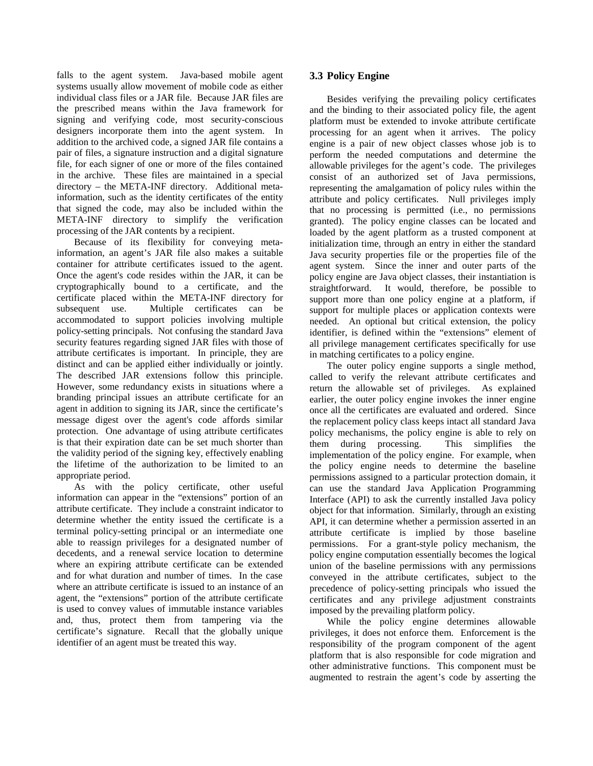falls to the agent system. Java-based mobile agent systems usually allow movement of mobile code as either individual class files or a JAR file. Because JAR files are the prescribed means within the Java framework for signing and verifying code, most security-conscious designers incorporate them into the agent system. In addition to the archived code, a signed JAR file contains a pair of files, a signature instruction and a digital signature file, for each signer of one or more of the files contained in the archive. These files are maintained in a special directory – the META-INF directory. Additional metainformation, such as the identity certificates of the entity that signed the code, may also be included within the META-INF directory to simplify the verification processing of the JAR contents by a recipient.

 Because of its flexibility for conveying metainformation, an agent's JAR file also makes a suitable container for attribute certificates issued to the agent. Once the agent's code resides within the JAR, it can be cryptographically bound to a certificate, and the certificate placed within the META-INF directory for subsequent use. Multiple certificates can be accommodated to support policies involving multiple policy-setting principals. Not confusing the standard Java security features regarding signed JAR files with those of attribute certificates is important. In principle, they are distinct and can be applied either individually or jointly. The described JAR extensions follow this principle. However, some redundancy exists in situations where a branding principal issues an attribute certificate for an agent in addition to signing its JAR, since the certificate's message digest over the agent's code affords similar protection. One advantage of using attribute certificates is that their expiration date can be set much shorter than the validity period of the signing key, effectively enabling the lifetime of the authorization to be limited to an appropriate period.

 As with the policy certificate, other useful information can appear in the "extensions" portion of an attribute certificate. They include a constraint indicator to determine whether the entity issued the certificate is a terminal policy-setting principal or an intermediate one able to reassign privileges for a designated number of decedents, and a renewal service location to determine where an expiring attribute certificate can be extended and for what duration and number of times. In the case where an attribute certificate is issued to an instance of an agent, the "extensions" portion of the attribute certificate is used to convey values of immutable instance variables and, thus, protect them from tampering via the certificate's signature. Recall that the globally unique identifier of an agent must be treated this way.

### **3.3 Policy Engine**

 Besides verifying the prevailing policy certificates and the binding to their associated policy file, the agent platform must be extended to invoke attribute certificate processing for an agent when it arrives. The policy engine is a pair of new object classes whose job is to perform the needed computations and determine the allowable privileges for the agent's code. The privileges consist of an authorized set of Java permissions, representing the amalgamation of policy rules within the attribute and policy certificates. Null privileges imply that no processing is permitted (i.e., no permissions granted). The policy engine classes can be located and loaded by the agent platform as a trusted component at initialization time, through an entry in either the standard Java security properties file or the properties file of the agent system. Since the inner and outer parts of the policy engine are Java object classes, their instantiation is straightforward. It would, therefore, be possible to support more than one policy engine at a platform, if support for multiple places or application contexts were needed. An optional but critical extension, the policy identifier, is defined within the "extensions" element of all privilege management certificates specifically for use in matching certificates to a policy engine.

 The outer policy engine supports a single method, called to verify the relevant attribute certificates and return the allowable set of privileges. As explained earlier, the outer policy engine invokes the inner engine once all the certificates are evaluated and ordered. Since the replacement policy class keeps intact all standard Java policy mechanisms, the policy engine is able to rely on them during processing. This simplifies the implementation of the policy engine. For example, when the policy engine needs to determine the baseline permissions assigned to a particular protection domain, it can use the standard Java Application Programming Interface (API) to ask the currently installed Java policy object for that information. Similarly, through an existing API, it can determine whether a permission asserted in an attribute certificate is implied by those baseline permissions. For a grant-style policy mechanism, the policy engine computation essentially becomes the logical union of the baseline permissions with any permissions conveyed in the attribute certificates, subject to the precedence of policy-setting principals who issued the certificates and any privilege adjustment constraints imposed by the prevailing platform policy.

 While the policy engine determines allowable privileges, it does not enforce them. Enforcement is the responsibility of the program component of the agent platform that is also responsible for code migration and other administrative functions. This component must be augmented to restrain the agent's code by asserting the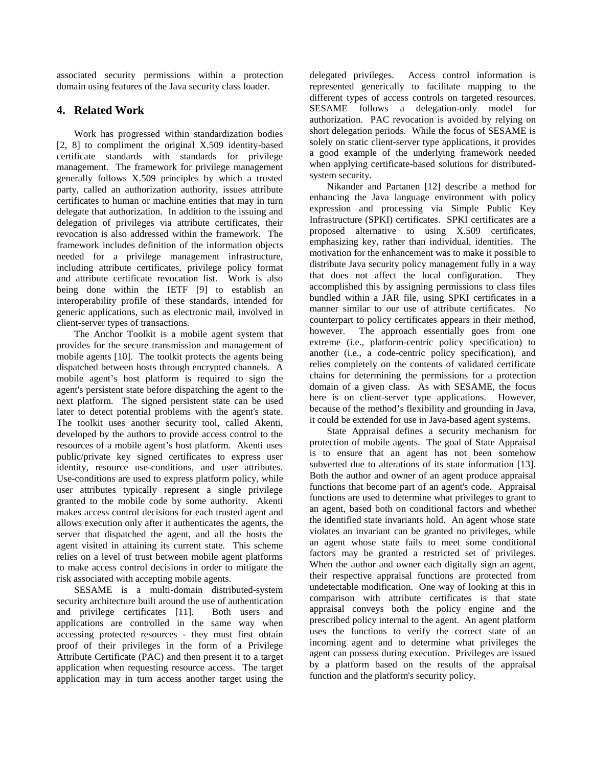associated security permissions within a protection domain using features of the Java security class loader.

## **4. Related Work**

 Work has progressed within standardization bodies [2, 8] to compliment the original X.509 identity-based certificate standards with standards for privilege management. The framework for privilege management generally follows X.509 principles by which a trusted party, called an authorization authority, issues attribute certificates to human or machine entities that may in turn delegate that authorization. In addition to the issuing and delegation of privileges via attribute certificates, their revocation is also addressed within the framework. The framework includes definition of the information objects needed for a privilege management infrastructure, including attribute certificates, privilege policy format and attribute certificate revocation list. Work is also being done within the IETF [9] to establish an interoperability profile of these standards, intended for generic applications, such as electronic mail, involved in client-server types of transactions.

 The Anchor Toolkit is a mobile agent system that provides for the secure transmission and management of mobile agents [10]. The toolkit protects the agents being dispatched between hosts through encrypted channels. A mobile agent's host platform is required to sign the agent's persistent state before dispatching the agent to the next platform. The signed persistent state can be used later to detect potential problems with the agent's state. The toolkit uses another security tool, called Akenti, developed by the authors to provide access control to the resources of a mobile agent's host platform. Akenti uses public/private key signed certificates to express user identity, resource use-conditions, and user attributes. Use-conditions are used to express platform policy, while user attributes typically represent a single privilege granted to the mobile code by some authority. Akenti makes access control decisions for each trusted agent and allows execution only after it authenticates the agents, the server that dispatched the agent, and all the hosts the agent visited in attaining its current state. This scheme relies on a level of trust between mobile agent platforms to make access control decisions in order to mitigate the risk associated with accepting mobile agents.

 SESAME is a multi-domain distributed-system security architecture built around the use of authentication and privilege certificates [11]. Both users and applications are controlled in the same way when accessing protected resources - they must first obtain proof of their privileges in the form of a Privilege Attribute Certificate (PAC) and then present it to a target application when requesting resource access. The target application may in turn access another target using the delegated privileges. Access control information is represented generically to facilitate mapping to the different types of access controls on targeted resources. SESAME follows a delegation-only model for authorization. PAC revocation is avoided by relying on short delegation periods. While the focus of SESAME is solely on static client-server type applications, it provides a good example of the underlying framework needed when applying certificate-based solutions for distributedsystem security.

 Nikander and Partanen [12] describe a method for enhancing the Java language environment with policy expression and processing via Simple Public Key Infrastructure (SPKI) certificates. SPKI certificates are a proposed alternative to using X.509 certificates, emphasizing key, rather than individual, identities. The motivation for the enhancement was to make it possible to distribute Java security policy management fully in a way that does not affect the local configuration. They accomplished this by assigning permissions to class files bundled within a JAR file, using SPKI certificates in a manner similar to our use of attribute certificates. No counterpart to policy certificates appears in their method, however. The approach essentially goes from one extreme (i.e., platform-centric policy specification) to another (i.e., a code-centric policy specification), and relies completely on the contents of validated certificate chains for determining the permissions for a protection domain of a given class. As with SESAME, the focus here is on client-server type applications. However, because of the method's flexibility and grounding in Java, it could be extended for use in Java-based agent systems.

 State Appraisal defines a security mechanism for protection of mobile agents. The goal of State Appraisal is to ensure that an agent has not been somehow subverted due to alterations of its state information [13]. Both the author and owner of an agent produce appraisal functions that become part of an agent's code. Appraisal functions are used to determine what privileges to grant to an agent, based both on conditional factors and whether the identified state invariants hold. An agent whose state violates an invariant can be granted no privileges, while an agent whose state fails to meet some conditional factors may be granted a restricted set of privileges. When the author and owner each digitally sign an agent, their respective appraisal functions are protected from undetectable modification. One way of looking at this in comparison with attribute certificates is that state appraisal conveys both the policy engine and the prescribed policy internal to the agent. An agent platform uses the functions to verify the correct state of an incoming agent and to determine what privileges the agent can possess during execution. Privileges are issued by a platform based on the results of the appraisal function and the platform's security policy.